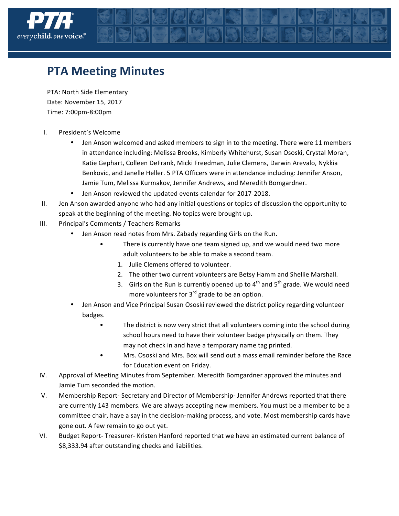

## **PTA Meeting Minutes**

PTA: North Side Elementary Date: November 15, 2017 Time: 7:00pm-8:00pm

- I. President's Welcome
	- Jen Anson welcomed and asked members to sign in to the meeting. There were 11 members in attendance including: Melissa Brooks, Kimberly Whitehurst, Susan Ososki, Crystal Moran, Katie Gephart, Colleen DeFrank, Micki Freedman, Julie Clemens, Darwin Arevalo, Nykkia Benkovic, and Janelle Heller. 5 PTA Officers were in attendance including: Jennifer Anson, Jamie Tum, Melissa Kurmakov, Jennifer Andrews, and Meredith Bomgardner.
	- Jen Anson reviewed the updated events calendar for 2017-2018.
- II. Jen Anson awarded anyone who had any initial questions or topics of discussion the opportunity to speak at the beginning of the meeting. No topics were brought up.
- III. Principal's Comments / Teachers Remarks
	- Jen Anson read notes from Mrs. Zabady regarding Girls on the Run.
		- There is currently have one team signed up, and we would need two more adult volunteers to be able to make a second team.
			- 1. Julie Clemens offered to volunteer.
			- 2. The other two current volunteers are Betsy Hamm and Shellie Marshall.
			- 3. Girls on the Run is currently opened up to  $4<sup>th</sup>$  and  $5<sup>th</sup>$  grade. We would need more volunteers for  $3^{rd}$  grade to be an option.
	- Jen Anson and Vice Principal Susan Ososki reviewed the district policy regarding volunteer badges.
		- The district is now very strict that all volunteers coming into the school during school hours need to have their volunteer badge physically on them. They may not check in and have a temporary name tag printed.
		- Mrs. Ososki and Mrs. Box will send out a mass email reminder before the Race for Education event on Friday.
- IV. Approval of Meeting Minutes from September. Meredith Bomgardner approved the minutes and Jamie Tum seconded the motion.
- V. Membership Report- Secretary and Director of Membership- Jennifer Andrews reported that there are currently 143 members. We are always accepting new members. You must be a member to be a committee chair, have a say in the decision-making process, and vote. Most membership cards have gone out. A few remain to go out yet.
- VI. Budget Report- Treasurer- Kristen Hanford reported that we have an estimated current balance of \$8,333.94 after outstanding checks and liabilities.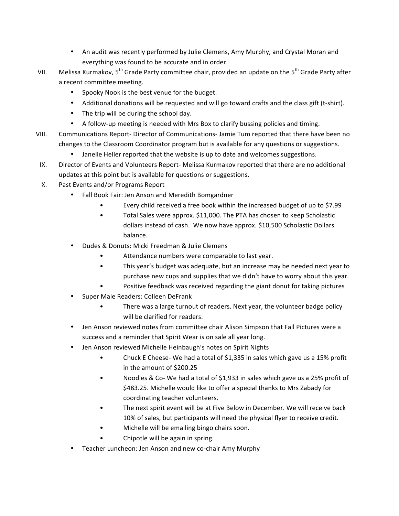- An audit was recently performed by Julie Clemens, Amy Murphy, and Crystal Moran and everything was found to be accurate and in order.
- VII. Melissa Kurmakov,  $5^{th}$  Grade Party committee chair, provided an update on the  $5^{th}$  Grade Party after a recent committee meeting.
	- Spooky Nook is the best venue for the budget.
	- Additional donations will be requested and will go toward crafts and the class gift (t-shirt).
	- The trip will be during the school day.
	- A follow-up meeting is needed with Mrs Box to clarify bussing policies and timing.
- VIII. Communications Report- Director of Communications-Jamie Tum reported that there have been no changes to the Classroom Coordinator program but is available for any questions or suggestions.
	- Janelle Heller reported that the website is up to date and welcomes suggestions.
- IX. Director of Events and Volunteers Report- Melissa Kurmakov reported that there are no additional updates at this point but is available for questions or suggestions.
- X. Past Events and/or Programs Report
	- Fall Book Fair: Jen Anson and Meredith Bomgardner
		- Every child received a free book within the increased budget of up to \$7.99
		- Total Sales were approx. \$11,000. The PTA has chosen to keep Scholastic dollars instead of cash. We now have approx. \$10,500 Scholastic Dollars balance.
	- Dudes & Donuts: Micki Freedman & Julie Clemens
		- Attendance numbers were comparable to last year.
		- This year's budget was adequate, but an increase may be needed next year to purchase new cups and supplies that we didn't have to worry about this year.
		- Positive feedback was received regarding the giant donut for taking pictures
	- Super Male Readers: Colleen DeFrank
		- There was a large turnout of readers. Next year, the volunteer badge policy will be clarified for readers.
	- Jen Anson reviewed notes from committee chair Alison Simpson that Fall Pictures were a success and a reminder that Spirit Wear is on sale all year long.
	- Jen Anson reviewed Michelle Heinbaugh's notes on Spirit Nights
		- Chuck E Cheese- We had a total of \$1,335 in sales which gave us a 15% profit in the amount of \$200.25
		- Noodles & Co- We had a total of \$1,933 in sales which gave us a 25% profit of \$483.25. Michelle would like to offer a special thanks to Mrs Zabady for coordinating teacher volunteers.
		- The next spirit event will be at Five Below in December. We will receive back 10% of sales, but participants will need the physical flyer to receive credit.
		- Michelle will be emailing bingo chairs soon.
		- Chipotle will be again in spring.
	- Teacher Luncheon: Jen Anson and new co-chair Amy Murphy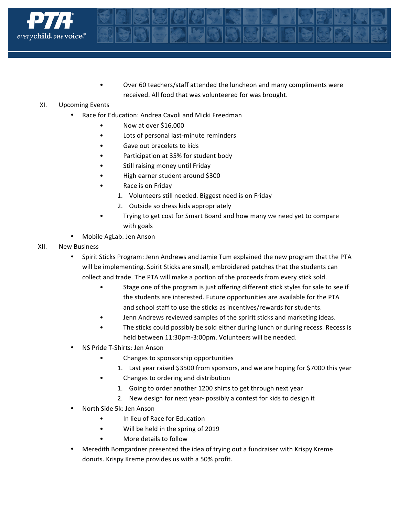

Over 60 teachers/staff attended the luncheon and many compliments were received. All food that was volunteered for was brought.

## XI. Upcoming Events

- Race for Education: Andrea Cavoli and Micki Freedman
	- Now at over \$16,000
	- Lots of personal last-minute reminders
	- Gave out bracelets to kids
	- Participation at 35% for student body
	- Still raising money until Friday
	- High earner student around \$300
	- Race is on Friday
		- 1. Volunteers still needed. Biggest need is on Friday
		- 2. Outside so dress kids appropriately
	- Trying to get cost for Smart Board and how many we need yet to compare with goals
- Mobile AgLab: Jen Anson
- XII. New Business
	- Spirit Sticks Program: Jenn Andrews and Jamie Tum explained the new program that the PTA will be implementing. Spirit Sticks are small, embroidered patches that the students can collect and trade. The PTA will make a portion of the proceeds from every stick sold.
		- Stage one of the program is just offering different stick styles for sale to see if the students are interested. Future opportunities are available for the PTA and school staff to use the sticks as incentives/rewards for students.
		- Jenn Andrews reviewed samples of the spririt sticks and marketing ideas.
		- The sticks could possibly be sold either during lunch or during recess. Recess is held between 11:30pm-3:00pm. Volunteers will be needed.
	- NS Pride T-Shirts: Jen Anson
		- Changes to sponsorship opportunities
			- 1. Last year raised \$3500 from sponsors, and we are hoping for \$7000 this year
		- Changes to ordering and distribution
			- 1. Going to order another 1200 shirts to get through next year
			- 2. New design for next year- possibly a contest for kids to design it
	- North Side 5k: Jen Anson
		- In lieu of Race for Education
		- Will be held in the spring of 2019
		- More details to follow
	- Meredith Bomgardner presented the idea of trying out a fundraiser with Krispy Kreme donuts. Krispy Kreme provides us with a 50% profit.